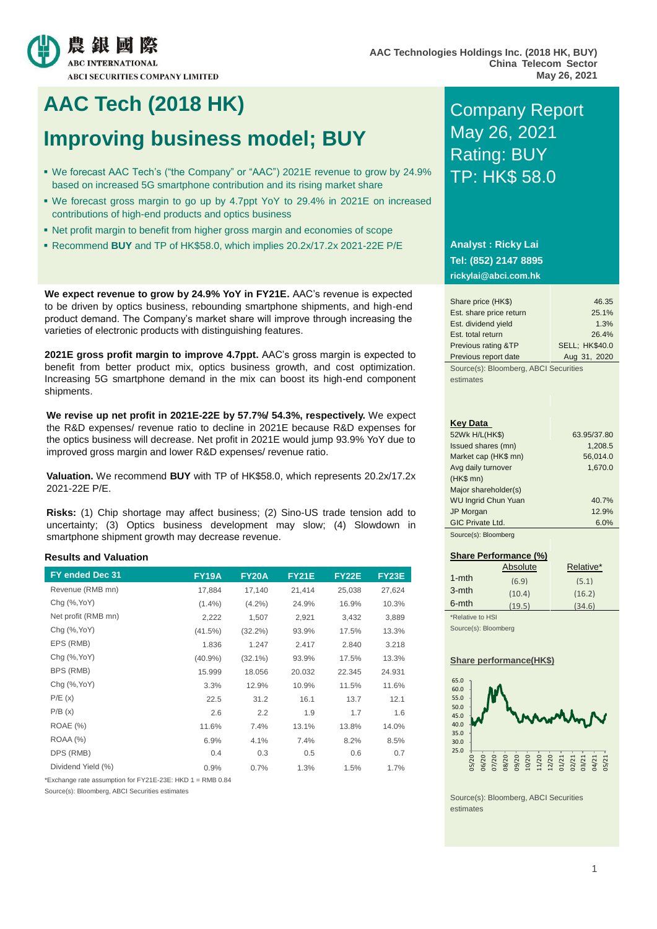

## **AAC Tech (2018 HK)** Company Report

# **Improving business model; BUY May 26, 2021**

- We forecast AAC Tech's ("the Company" or "AAC") 2021E revenue to grow by 24.9% based on increased 5G smartphone contribution and its rising market share
- We forecast gross margin to go up by 4.7ppt YoY to 29.4% in 2021E on increased contributions of high-end products and optics business
- Net profit margin to benefit from higher gross margin and economies of scope
- Recommend **BUY** and TP of HK\$58.0, which implies 20.2x/17.2x 2021-22E P/E

**We expect revenue to grow by 24.9% YoY in FY21E.** AAC's revenue is expected to be driven by optics business, rebounding smartphone shipments, and high-end product demand. The Company's market share will improve through increasing the varieties of electronic products with distinguishing features.

**2021E gross profit margin to improve 4.7ppt.** AAC's gross margin is expected to benefit from better product mix, optics business growth, and cost optimization. Increasing 5G smartphone demand in the mix can boost its high-end component shipments.

**We revise up net profit in 2021E-22E by 57.7%/ 54.3%, respectively.** We expect the R&D expenses/ revenue ratio to decline in 2021E because R&D expenses for the optics business will decrease. Net profit in 2021E would jump 93.9% YoY due to improved gross margin and lower R&D expenses/ revenue ratio.

**Valuation.** We recommend **BUY** with TP of HK\$58.0, which represents 20.2x/17.2x 2021-22E P/E.

**Risks:** (1) Chip shortage may affect business; (2) Sino-US trade tension add to uncertainty; (3) Optics business development may slow; (4) Slowdown in smartphone shipment growth may decrease revenue.

### **Results and Valuation**

| FY ended Dec 31     | <b>FY19A</b> | <b>FY20A</b> | <b>FY21E</b> | <b>FY22E</b> | <b>FY23E</b> |
|---------------------|--------------|--------------|--------------|--------------|--------------|
| Revenue (RMB mn)    | 17,884       | 17,140       | 21,414       | 25,038       | 27,624       |
| Chg (%, YoY)        | $(1.4\%)$    | $(4.2\%)$    | 24.9%        | 16.9%        | 10.3%        |
| Net profit (RMB mn) | 2,222        | 1,507        | 2,921        | 3,432        | 3,889        |
| Chg (%, YoY)        | $(41.5\%)$   | $(32.2\%)$   | 93.9%        | 17.5%        | 13.3%        |
| EPS (RMB)           | 1.836        | 1.247        | 2.417        | 2.840        | 3.218        |
| Chg (%, YoY)        | $(40.9\%)$   | $(32.1\%)$   | 93.9%        | 17.5%        | 13.3%        |
| BPS (RMB)           | 15.999       | 18.056       | 20.032       | 22.345       | 24.931       |
| Chg (%, YoY)        | 3.3%         | 12.9%        | 10.9%        | 11.5%        | 11.6%        |
| P/E(x)              | 22.5         | 31.2         | 16.1         | 13.7         | 12.1         |
| P/B(x)              | 2.6          | 2.2          | 1.9          | 1.7          | 1.6          |
| <b>ROAE</b> (%)     | 11.6%        | 7.4%         | 13.1%        | 13.8%        | 14.0%        |
| <b>ROAA (%)</b>     | 6.9%         | 4.1%         | 7.4%         | 8.2%         | 8.5%         |
| DPS (RMB)           | 0.4          | 0.3          | 0.5          | 0.6          | 0.7          |
| Dividend Yield (%)  | 0.9%         | 0.7%         | 1.3%         | 1.5%         | 1.7%         |

\*Exchange rate assumption for FY21E-23E: HKD 1 = RMB 0.84

Source(s): Bloomberg, ABCI Securities estimates

# Rating: BUY TP: HK\$ 58.0

### **Analyst : Ricky Lai Tel: (852) 2147 8895 rickylai@abci.com.hk**

| Share price (HK\$)      | 46.35                 |
|-------------------------|-----------------------|
| Est. share price return | 25.1%                 |
| Est. dividend yield     | 1.3%                  |
| Est. total return       | 26.4%                 |
| Previous rating &TP     | <b>SELL: HK\$40.0</b> |
| Previous report date    | Aug 31, 2020          |

Source(s): Bloomberg, ABCI Securities estimates

#### **Key Data**

| 52Wk H/L(HK\$)             | 63.95/37.80 |
|----------------------------|-------------|
| Issued shares (mn)         | 1,208.5     |
| Market cap (HK\$ mn)       | 56,014.0    |
| Avg daily turnover         | 1,670.0     |
| $(HKS$ mn $)$              |             |
| Major shareholder(s)       |             |
| <b>WU Ingrid Chun Yuan</b> | 40.7%       |
| JP Morgan                  | 12.9%       |
| <b>GIC Private Ltd.</b>    | 6.0%        |
| Source(s): Bloomberg       |             |

### **Share Performance (%)** Absolute Relative\* 1-mth (6.9) (5.1) 3-mth (10.4) (16.2) 6-mth (19.5) (34.6) \*Relative to HSI

Source(s): Bloomberg

### **Share performance(HK\$)**



Source(s): Bloomberg, ABCI Securities estimates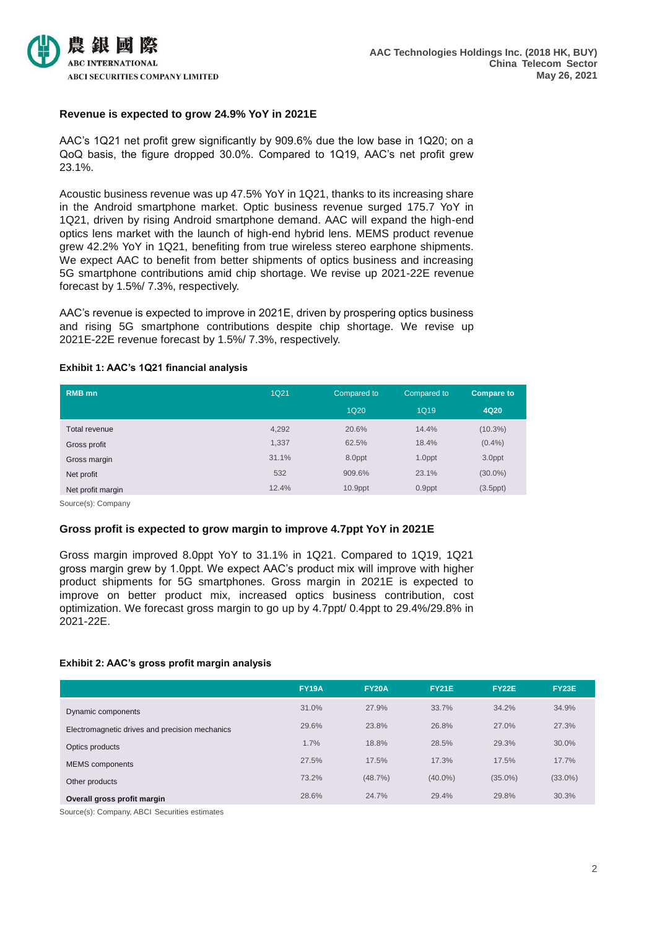

### **Revenue is expected to grow 24.9% YoY in 2021E**

AAC's 1Q21 net profit grew significantly by 909.6% due the low base in 1Q20; on a QoQ basis, the figure dropped 30.0%. Compared to 1Q19, AAC's net profit grew 23.1%.

Acoustic business revenue was up 47.5% YoY in 1Q21, thanks to its increasing share in the Android smartphone market. Optic business revenue surged 175.7 YoY in 1Q21, driven by rising Android smartphone demand. AAC will expand the high-end optics lens market with the launch of high-end hybrid lens. MEMS product revenue grew 42.2% YoY in 1Q21, benefiting from true wireless stereo earphone shipments. We expect AAC to benefit from better shipments of optics business and increasing 5G smartphone contributions amid chip shortage. We revise up 2021-22E revenue forecast by 1.5%/ 7.3%, respectively.

AAC's revenue is expected to improve in 2021E, driven by prospering optics business and rising 5G smartphone contributions despite chip shortage. We revise up 2021E-22E revenue forecast by 1.5%/ 7.3%, respectively.

| <b>RMB</b> mn     | <b>1Q21</b> | Compared to | Compared to | <b>Compare to</b> |
|-------------------|-------------|-------------|-------------|-------------------|
|                   |             | <b>1Q20</b> | <b>1Q19</b> | 4Q20              |
| Total revenue     | 4,292       | 20.6%       | 14.4%       | $(10.3\%)$        |
| Gross profit      | 1,337       | 62.5%       | 18.4%       | $(0.4\%)$         |
| Gross margin      | 31.1%       | 8.0ppt      | 1.0ppt      | 3.0ppt            |
| Net profit        | 532         | 909.6%      | 23.1%       | $(30.0\%)$        |
| Net profit margin | 12.4%       | $10.9$ ppt  | 0.9ppt      | $(3.5$ ppt $)$    |

### **Exhibit 1: AAC's 1Q21 financial analysis**

Source(s): Company

### **Gross profit is expected to grow margin to improve 4.7ppt YoY in 2021E**

Gross margin improved 8.0ppt YoY to 31.1% in 1Q21. Compared to 1Q19, 1Q21 gross margin grew by 1.0ppt. We expect AAC's product mix will improve with higher product shipments for 5G smartphones. Gross margin in 2021E is expected to improve on better product mix, increased optics business contribution, cost optimization. We forecast gross margin to go up by 4.7ppt/ 0.4ppt to 29.4%/29.8% in 2021-22E.

### **Exhibit 2: AAC's gross profit margin analysis**

|                                                | <b>FY19A</b> | <b>FY20A</b> | <b>FY21E</b> | <b>FY22E</b> | <b>FY23E</b> |
|------------------------------------------------|--------------|--------------|--------------|--------------|--------------|
| Dynamic components                             | 31.0%        | 27.9%        | 33.7%        | 34.2%        | 34.9%        |
| Electromagnetic drives and precision mechanics | 29.6%        | 23.8%        | 26.8%        | 27.0%        | 27.3%        |
| Optics products                                | 1.7%         | 18.8%        | 28.5%        | 29.3%        | 30.0%        |
| <b>MEMS</b> components                         | 27.5%        | 17.5%        | 17.3%        | 17.5%        | 17.7%        |
| Other products                                 | 73.2%        | (48.7%)      | $(40.0\%)$   | $(35.0\%)$   | $(33.0\%)$   |
| Overall gross profit margin                    | 28.6%        | 24.7%        | 29.4%        | 29.8%        | 30.3%        |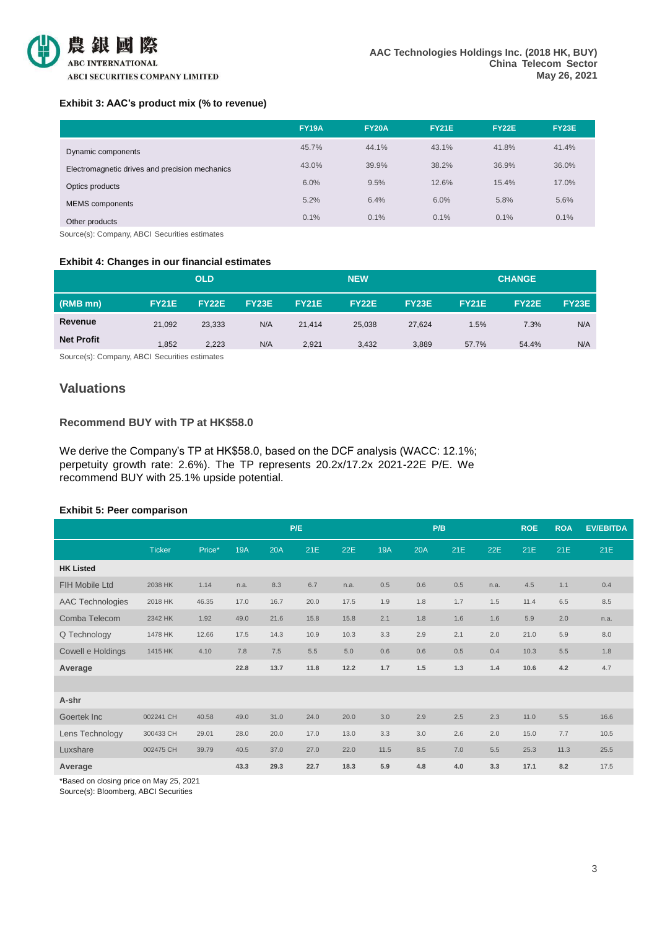

### **Exhibit 3: AAC's product mix (% to revenue)**

| <b>FY23E</b> |
|--------------|
| 41.4%        |
| 36.0%        |
| 17.0%        |
|              |
|              |
| 5.6%<br>0.1% |

Source(s): Company, ABCI Securities estimates

### **Exhibit 4: Changes in our financial estimates**

|                   |              | <b>OLD</b>   |              |              | <b>NEW</b>   |              |              | <b>CHANGE</b> |       |  |
|-------------------|--------------|--------------|--------------|--------------|--------------|--------------|--------------|---------------|-------|--|
| (RMB mn)          | <b>FY21E</b> | <b>FY22E</b> | <b>FY23E</b> | <b>FY21E</b> | <b>FY22E</b> | <b>FY23E</b> | <b>FY21E</b> | <b>FY22E</b>  | FY23E |  |
| Revenue           | 21,092       | 23,333       | N/A          | 21.414       | 25.038       | 27.624       | 1.5%         | 7.3%          | N/A   |  |
| <b>Net Profit</b> | 1,852        | 2,223        | N/A          | 2,921        | 3,432        | 3,889        | 57.7%        | 54.4%         | N/A   |  |

Source(s): Company, ABCI Securities estimates

### **Valuations**

### **Recommend BUY with TP at HK\$58.0**

We derive the Company's TP at HK\$58.0, based on the DCF analysis (WACC: 12.1%; perpetuity growth rate: 2.6%). The TP represents 20.2x/17.2x 2021-22E P/E. We recommend BUY with 25.1% upside potential.

### **Exhibit 5: Peer comparison**

|                         |               |        |            |      | P/E  |      |            | P/B |     |      | <b>ROE</b> | <b>ROA</b> | <b>EV/EBITDA</b> |
|-------------------------|---------------|--------|------------|------|------|------|------------|-----|-----|------|------------|------------|------------------|
|                         | <b>Ticker</b> | Price* | <b>19A</b> | 20A  | 21E  | 22E  | <b>19A</b> | 20A | 21E | 22E  | 21E        | 21E        | 21E              |
| <b>HK Listed</b>        |               |        |            |      |      |      |            |     |     |      |            |            |                  |
| <b>FIH Mobile Ltd</b>   | 2038 HK       | 1.14   | n.a.       | 8.3  | 6.7  | n.a. | 0.5        | 0.6 | 0.5 | n.a. | 4.5        | 1.1        | 0.4              |
| <b>AAC Technologies</b> | 2018 HK       | 46.35  | 17.0       | 16.7 | 20.0 | 17.5 | 1.9        | 1.8 | 1.7 | 1.5  | 11.4       | 6.5        | 8.5              |
| Comba Telecom           | 2342 HK       | 1.92   | 49.0       | 21.6 | 15.8 | 15.8 | 2.1        | 1.8 | 1.6 | 1.6  | 5.9        | 2.0        | n.a.             |
| Q Technology            | 1478 HK       | 12.66  | 17.5       | 14.3 | 10.9 | 10.3 | 3.3        | 2.9 | 2.1 | 2.0  | 21.0       | 5.9        | 8.0              |
| Cowell e Holdings       | 1415 HK       | 4.10   | 7.8        | 7.5  | 5.5  | 5.0  | 0.6        | 0.6 | 0.5 | 0.4  | 10.3       | 5.5        | 1.8              |
| Average                 |               |        | 22.8       | 13.7 | 11.8 | 12.2 | 1.7        | 1.5 | 1.3 | 1.4  | 10.6       | 4.2        | 4.7              |
|                         |               |        |            |      |      |      |            |     |     |      |            |            |                  |
| A-shr                   |               |        |            |      |      |      |            |     |     |      |            |            |                  |
| Goertek Inc             | 002241 CH     | 40.58  | 49.0       | 31.0 | 24.0 | 20.0 | 3.0        | 2.9 | 2.5 | 2.3  | 11.0       | 5.5        | 16.6             |
| Lens Technology         | 300433 CH     | 29.01  | 28.0       | 20.0 | 17.0 | 13.0 | 3.3        | 3.0 | 2.6 | 2.0  | 15.0       | 7.7        | 10.5             |
| Luxshare                | 002475 CH     | 39.79  | 40.5       | 37.0 | 27.0 | 22.0 | 11.5       | 8.5 | 7.0 | 5.5  | 25.3       | 11.3       | 25.5             |
| Average                 |               |        | 43.3       | 29.3 | 22.7 | 18.3 | 5.9        | 4.8 | 4.0 | 3.3  | 17.1       | 8.2        | 17.5             |

\*Based on closing price on May 25, 2021

Source(s): Bloomberg, ABCI Securities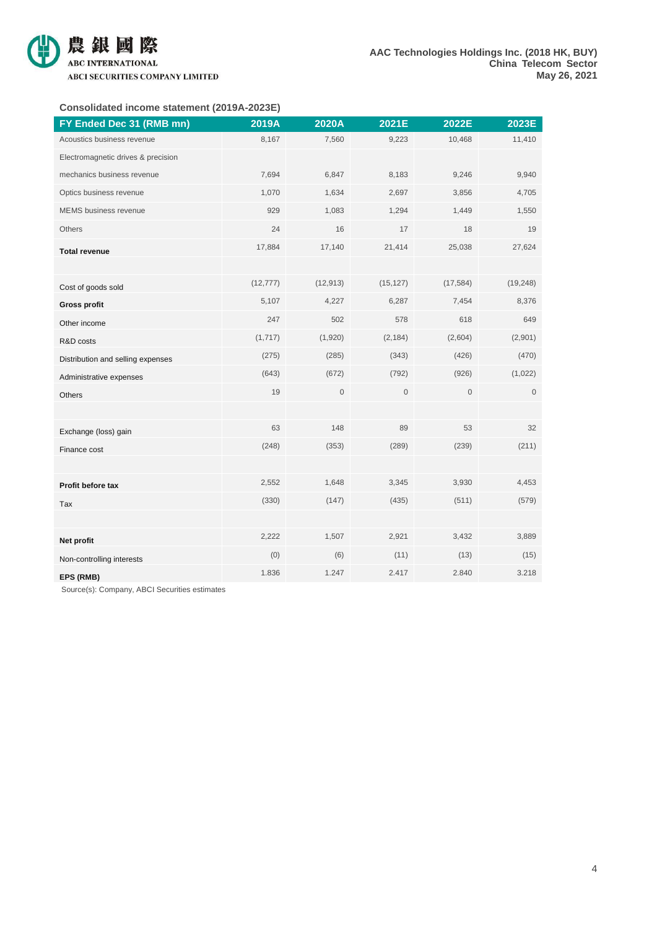

### **Consolidated income statement (2019A-2023E)**

| FY Ended Dec 31 (RMB mn)           | 2019A     | 2020A       | 2021E       | 2022E       | 2023E               |
|------------------------------------|-----------|-------------|-------------|-------------|---------------------|
| Acoustics business revenue         | 8,167     | 7,560       | 9,223       | 10,468      | 11,410              |
| Electromagnetic drives & precision |           |             |             |             |                     |
| mechanics business revenue         | 7,694     | 6,847       | 8,183       | 9,246       | 9,940               |
| Optics business revenue            | 1,070     | 1,634       | 2,697       | 3,856       | 4,705               |
| <b>MEMS</b> business revenue       | 929       | 1,083       | 1,294       | 1,449       | 1,550               |
| Others                             | 24        | 16          | 17          | 18          | 19                  |
| <b>Total revenue</b>               | 17,884    | 17,140      | 21,414      | 25,038      | 27,624              |
|                                    |           |             |             |             |                     |
| Cost of goods sold                 | (12, 777) | (12, 913)   | (15, 127)   | (17, 584)   | (19, 248)           |
| <b>Gross profit</b>                | 5,107     | 4,227       | 6,287       | 7,454       | 8,376               |
| Other income                       | 247       | 502         | 578         | 618         | 649                 |
| R&D costs                          | (1,717)   | (1,920)     | (2, 184)    | (2,604)     | (2,901)             |
| Distribution and selling expenses  | (275)     | (285)       | (343)       | (426)       | (470)               |
| Administrative expenses            | (643)     | (672)       | (792)       | (926)       | (1,022)             |
| Others                             | 19        | $\mathsf 0$ | $\mathbf 0$ | $\mathbf 0$ | $\mathsf{O}\xspace$ |
|                                    |           |             |             |             |                     |
| Exchange (loss) gain               | 63        | 148         | 89          | 53          | 32                  |
| Finance cost                       | (248)     | (353)       | (289)       | (239)       | (211)               |
|                                    |           |             |             |             |                     |
| Profit before tax                  | 2,552     | 1,648       | 3,345       | 3,930       | 4,453               |
| Tax                                | (330)     | (147)       | (435)       | (511)       | (579)               |
|                                    |           |             |             |             |                     |
| Net profit                         | 2,222     | 1,507       | 2,921       | 3,432       | 3,889               |
| Non-controlling interests          | (0)       | (6)         | (11)        | (13)        | (15)                |
| EPS (RMB)                          | 1.836     | 1.247       | 2.417       | 2.840       | 3.218               |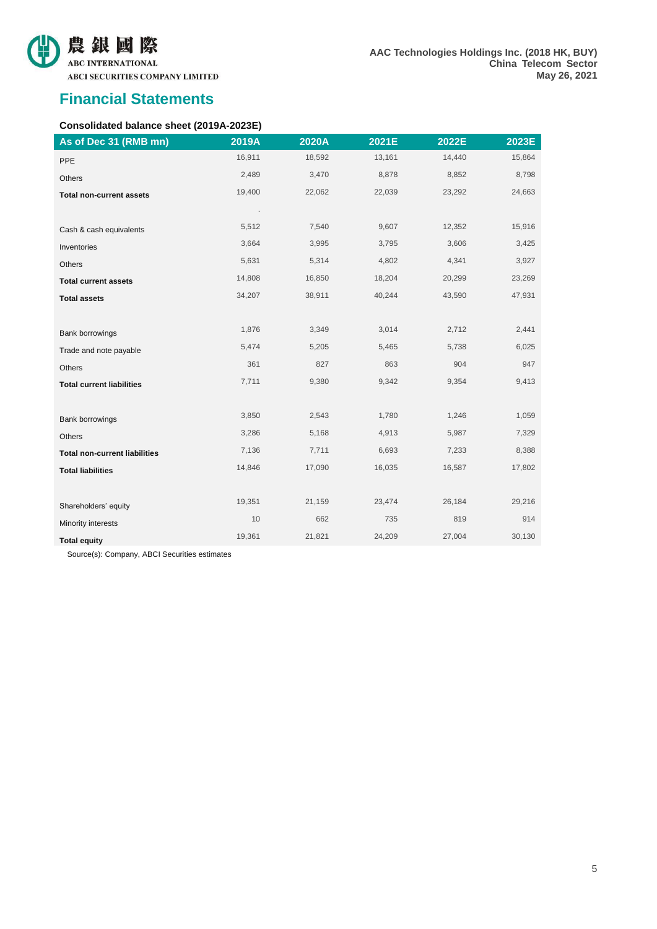

**AAC Technologies Holdings Inc. (2018 HK, BUY) China Telecom Sector May 26, 2021**

### **Financial Statements**

### **Consolidated balance sheet (2019A-2023E)**

| As of Dec 31 (RMB mn)                | 2019A  | 2020A  | 2021E  | 2022E  | 2023E  |
|--------------------------------------|--------|--------|--------|--------|--------|
| PPE                                  | 16,911 | 18,592 | 13,161 | 14,440 | 15,864 |
| Others                               | 2,489  | 3,470  | 8,878  | 8,852  | 8,798  |
| <b>Total non-current assets</b>      | 19,400 | 22,062 | 22,039 | 23,292 | 24,663 |
|                                      |        |        |        |        |        |
| Cash & cash equivalents              | 5,512  | 7,540  | 9,607  | 12,352 | 15,916 |
| Inventories                          | 3,664  | 3,995  | 3,795  | 3,606  | 3,425  |
| Others                               | 5,631  | 5,314  | 4,802  | 4,341  | 3,927  |
| <b>Total current assets</b>          | 14,808 | 16,850 | 18,204 | 20,299 | 23,269 |
| <b>Total assets</b>                  | 34,207 | 38,911 | 40,244 | 43,590 | 47,931 |
|                                      |        |        |        |        |        |
| Bank borrowings                      | 1,876  | 3,349  | 3,014  | 2,712  | 2,441  |
| Trade and note payable               | 5,474  | 5,205  | 5,465  | 5,738  | 6,025  |
| Others                               | 361    | 827    | 863    | 904    | 947    |
| <b>Total current liabilities</b>     | 7,711  | 9,380  | 9,342  | 9,354  | 9,413  |
|                                      |        |        |        |        |        |
| <b>Bank borrowings</b>               | 3,850  | 2,543  | 1,780  | 1,246  | 1,059  |
| Others                               | 3,286  | 5,168  | 4,913  | 5,987  | 7,329  |
| <b>Total non-current liabilities</b> | 7,136  | 7,711  | 6,693  | 7,233  | 8,388  |
| <b>Total liabilities</b>             | 14,846 | 17,090 | 16,035 | 16,587 | 17,802 |
|                                      |        |        |        |        |        |
| Shareholders' equity                 | 19,351 | 21,159 | 23,474 | 26,184 | 29,216 |
| Minority interests                   | 10     | 662    | 735    | 819    | 914    |
| <b>Total equity</b>                  | 19,361 | 21,821 | 24,209 | 27,004 | 30,130 |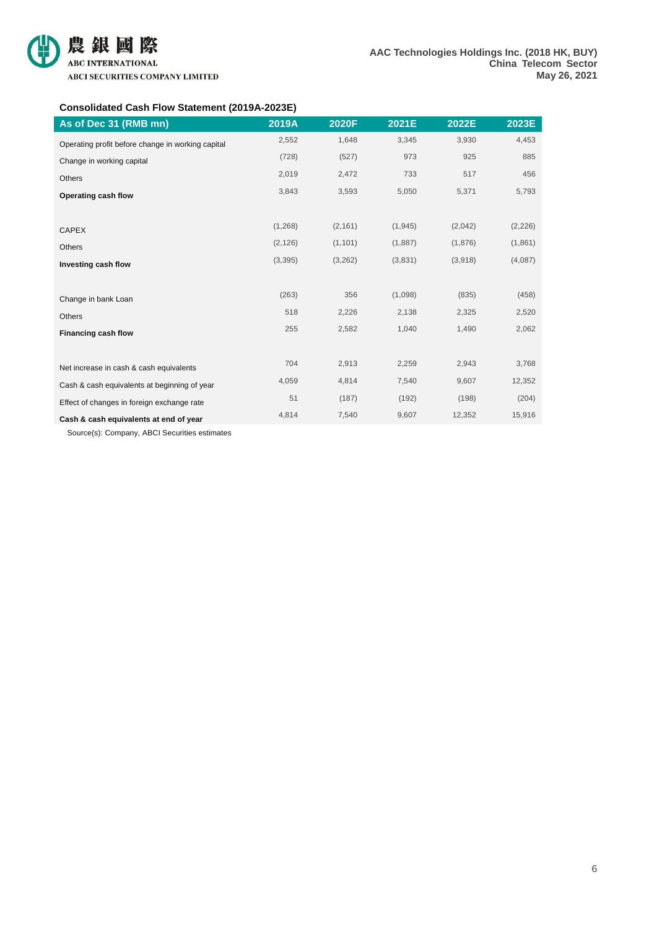### **Consolidated Cash Flow Statement (2019A-2023E)**

| As of Dec 31 (RMB mn)                             | 2019A    | 2020F    | 2021E    | 2022E   | 2023E    |
|---------------------------------------------------|----------|----------|----------|---------|----------|
| Operating profit before change in working capital | 2,552    | 1,648    | 3,345    | 3,930   | 4,453    |
| Change in working capital                         | (728)    | (527)    | 973      | 925     | 885      |
| <b>Others</b>                                     | 2,019    | 2,472    | 733      | 517     | 456      |
| Operating cash flow                               | 3,843    | 3,593    | 5,050    | 5,371   | 5,793    |
|                                                   |          |          |          |         |          |
| <b>CAPEX</b>                                      | (1, 268) | (2, 161) | (1, 945) | (2,042) | (2, 226) |
| <b>Others</b>                                     | (2, 126) | (1, 101) | (1,887)  | (1,876) | (1,861)  |
| Investing cash flow                               | (3, 395) | (3,262)  | (3,831)  | (3,918) | (4,087)  |
|                                                   |          |          |          |         |          |
| Change in bank Loan                               | (263)    | 356      | (1,098)  | (835)   | (458)    |
| Others                                            | 518      | 2,226    | 2,138    | 2,325   | 2,520    |
| <b>Financing cash flow</b>                        | 255      | 2,582    | 1,040    | 1,490   | 2,062    |
|                                                   |          |          |          |         |          |
| Net increase in cash & cash equivalents           | 704      | 2,913    | 2,259    | 2,943   | 3,768    |
| Cash & cash equivalents at beginning of year      | 4,059    | 4,814    | 7,540    | 9,607   | 12,352   |
| Effect of changes in foreign exchange rate        | 51       | (187)    | (192)    | (198)   | (204)    |
| Cash & cash equivalents at end of year            | 4,814    | 7,540    | 9,607    | 12,352  | 15,916   |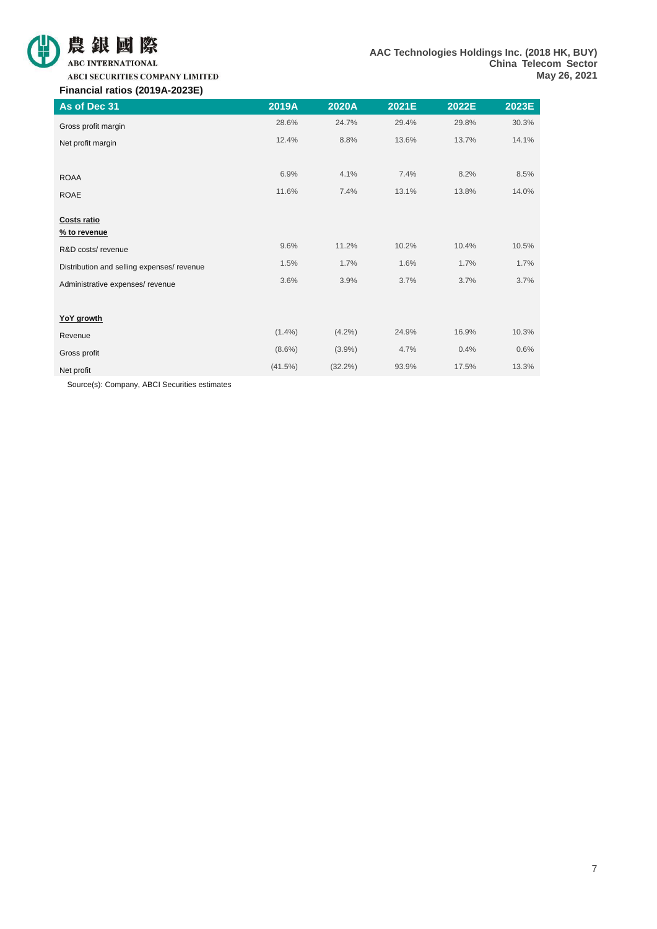

**ABCI SECURITIES COMPANY LIMITED** 

### **Financial ratios (2019A-2023E)**

| As of Dec 31                               | 2019A      | 2020A      | 2021E | 2022E | 2023E |
|--------------------------------------------|------------|------------|-------|-------|-------|
| Gross profit margin                        | 28.6%      | 24.7%      | 29.4% | 29.8% | 30.3% |
| Net profit margin                          | 12.4%      | 8.8%       | 13.6% | 13.7% | 14.1% |
|                                            |            |            |       |       |       |
| <b>ROAA</b>                                | 6.9%       | 4.1%       | 7.4%  | 8.2%  | 8.5%  |
| <b>ROAE</b>                                | 11.6%      | 7.4%       | 13.1% | 13.8% | 14.0% |
|                                            |            |            |       |       |       |
| <b>Costs ratio</b>                         |            |            |       |       |       |
| % to revenue                               |            |            |       |       |       |
| R&D costs/revenue                          | 9.6%       | 11.2%      | 10.2% | 10.4% | 10.5% |
| Distribution and selling expenses/ revenue | 1.5%       | 1.7%       | 1.6%  | 1.7%  | 1.7%  |
| Administrative expenses/ revenue           | 3.6%       | 3.9%       | 3.7%  | 3.7%  | 3.7%  |
|                                            |            |            |       |       |       |
| <b>YoY</b> growth                          |            |            |       |       |       |
| Revenue                                    | $(1.4\%)$  | $(4.2\%)$  | 24.9% | 16.9% | 10.3% |
| Gross profit                               | $(8.6\%)$  | $(3.9\%)$  | 4.7%  | 0.4%  | 0.6%  |
| Net profit                                 | $(41.5\%)$ | $(32.2\%)$ | 93.9% | 17.5% | 13.3% |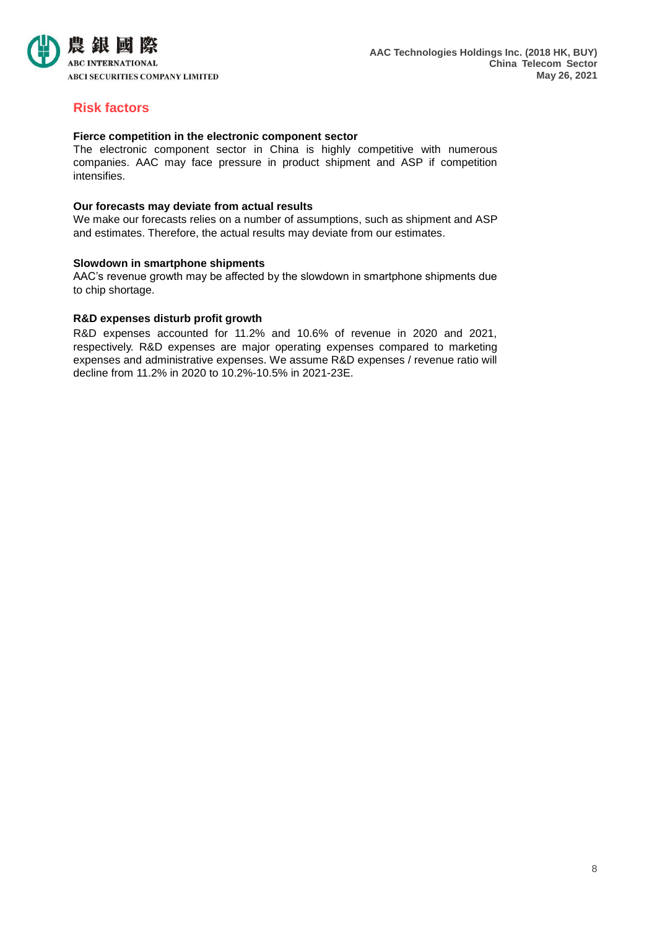

### **Risk factors**

### **Fierce competition in the electronic component sector**

The electronic component sector in China is highly competitive with numerous companies. AAC may face pressure in product shipment and ASP if competition intensifies.

### **Our forecasts may deviate from actual results**

We make our forecasts relies on a number of assumptions, such as shipment and ASP and estimates. Therefore, the actual results may deviate from our estimates.

### **Slowdown in smartphone shipments**

AAC's revenue growth may be affected by the slowdown in smartphone shipments due to chip shortage.

### **R&D expenses disturb profit growth**

R&D expenses accounted for 11.2% and 10.6% of revenue in 2020 and 2021, respectively. R&D expenses are major operating expenses compared to marketing expenses and administrative expenses. We assume R&D expenses / revenue ratio will decline from 11.2% in 2020 to 10.2%-10.5% in 2021-23E.